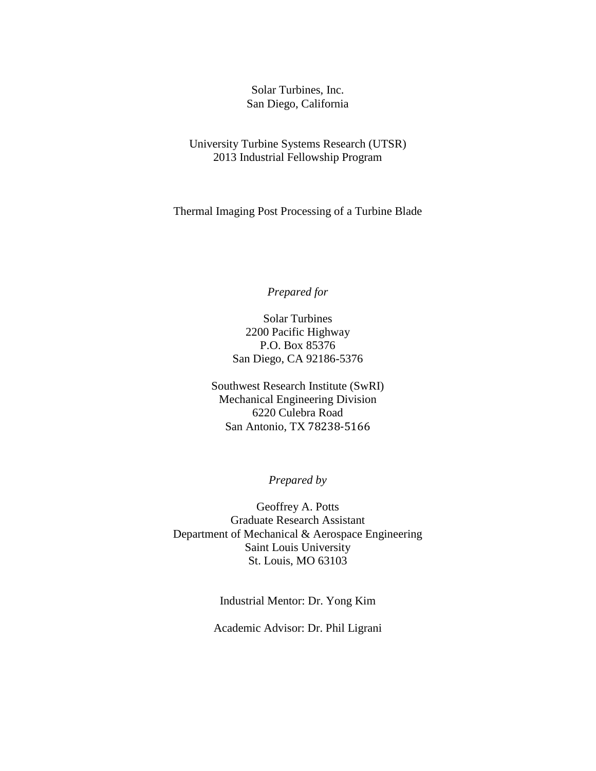Solar Turbines, Inc. San Diego, California

University Turbine Systems Research (UTSR) 2013 Industrial Fellowship Program

Thermal Imaging Post Processing of a Turbine Blade

### *Prepared for*

Solar Turbines 2200 Pacific Highway P.O. Box 85376 San Diego, CA 92186-5376

Southwest Research Institute (SwRI) Mechanical Engineering Division 6220 Culebra Road San Antonio, TX 78238-5166

*Prepared by*

Geoffrey A. Potts Graduate Research Assistant Department of Mechanical & Aerospace Engineering Saint Louis University St. Louis, MO 63103

Industrial Mentor: Dr. Yong Kim

Academic Advisor: Dr. Phil Ligrani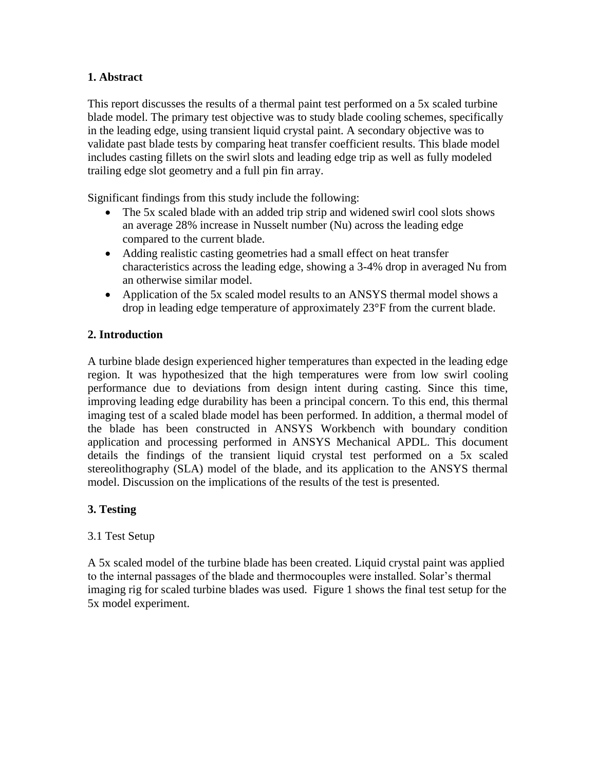## **1. Abstract**

This report discusses the results of a thermal paint test performed on a 5x scaled turbine blade model. The primary test objective was to study blade cooling schemes, specifically in the leading edge, using transient liquid crystal paint. A secondary objective was to validate past blade tests by comparing heat transfer coefficient results. This blade model includes casting fillets on the swirl slots and leading edge trip as well as fully modeled trailing edge slot geometry and a full pin fin array.

Significant findings from this study include the following:

- The 5x scaled blade with an added trip strip and widened swirl cool slots shows an average 28% increase in Nusselt number (Nu) across the leading edge compared to the current blade.
- Adding realistic casting geometries had a small effect on heat transfer characteristics across the leading edge, showing a 3-4% drop in averaged Nu from an otherwise similar model.
- Application of the 5x scaled model results to an ANSYS thermal model shows a drop in leading edge temperature of approximately 23°F from the current blade.

## **2. Introduction**

A turbine blade design experienced higher temperatures than expected in the leading edge region. It was hypothesized that the high temperatures were from low swirl cooling performance due to deviations from design intent during casting. Since this time, improving leading edge durability has been a principal concern. To this end, this thermal imaging test of a scaled blade model has been performed. In addition, a thermal model of the blade has been constructed in ANSYS Workbench with boundary condition application and processing performed in ANSYS Mechanical APDL. This document details the findings of the transient liquid crystal test performed on a 5x scaled stereolithography (SLA) model of the blade, and its application to the ANSYS thermal model. Discussion on the implications of the results of the test is presented.

## **3. Testing**

## 3.1 Test Setup

A 5x scaled model of the turbine blade has been created. Liquid crystal paint was applied to the internal passages of the blade and thermocouples were installed. Solar's thermal imaging rig for scaled turbine blades was used. Figure 1 shows the final test setup for the 5x model experiment.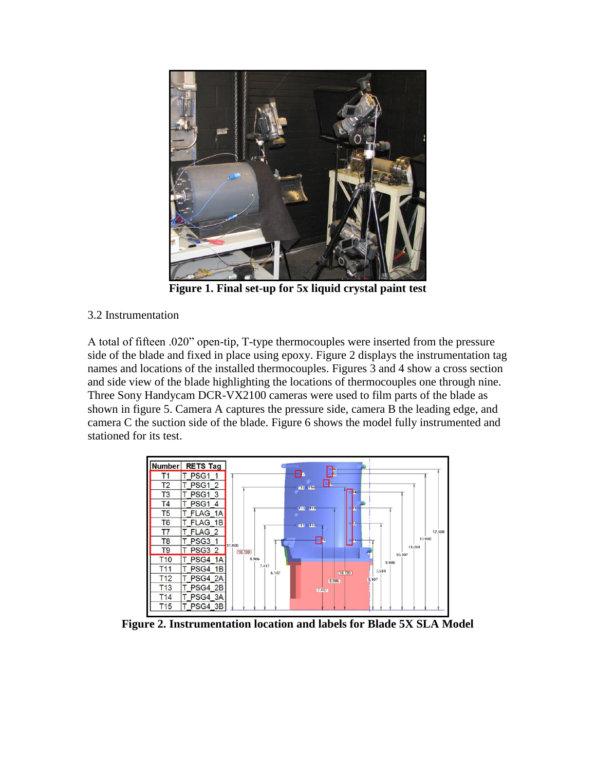

**Figure 1. Final set-up for 5x liquid crystal paint test**

## 3.2 Instrumentation

A total of fifteen .020" open-tip, T-type thermocouples were inserted from the pressure side of the blade and fixed in place using epoxy. Figure 2 displays the instrumentation tag names and locations of the installed thermocouples. Figures 3 and 4 show a cross section and side view of the blade highlighting the locations of thermocouples one through nine. Three Sony Handycam DCR-VX2100 cameras were used to film parts of the blade as shown in figure 5. Camera A captures the pressure side, camera B the leading edge, and camera C the suction side of the blade. Figure 6 shows the model fully instrumented and stationed for its test.



**Figure 2. Instrumentation location and labels for Blade 5X SLA Model**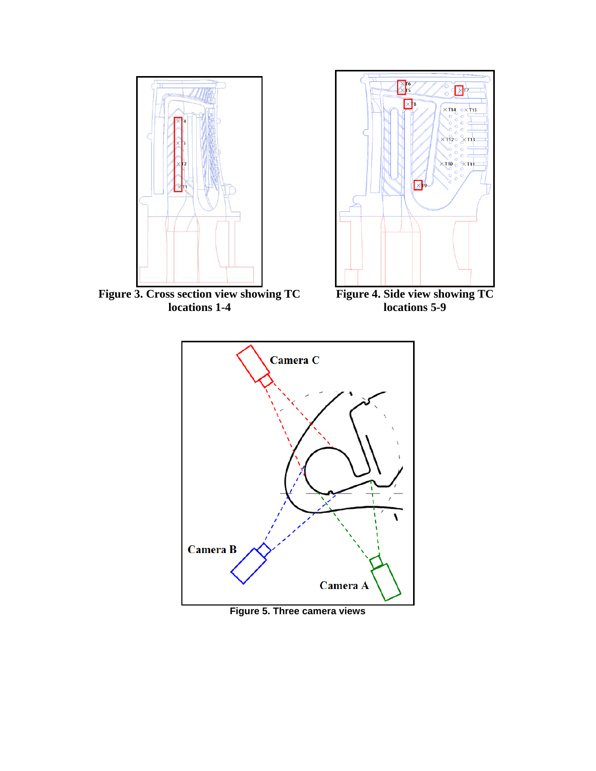



**Figure 3. Cross section view showing TC locations 1-4** 

**Figure 4. Side view showing TC locations 5-9**



**Figure 5. Three camera views**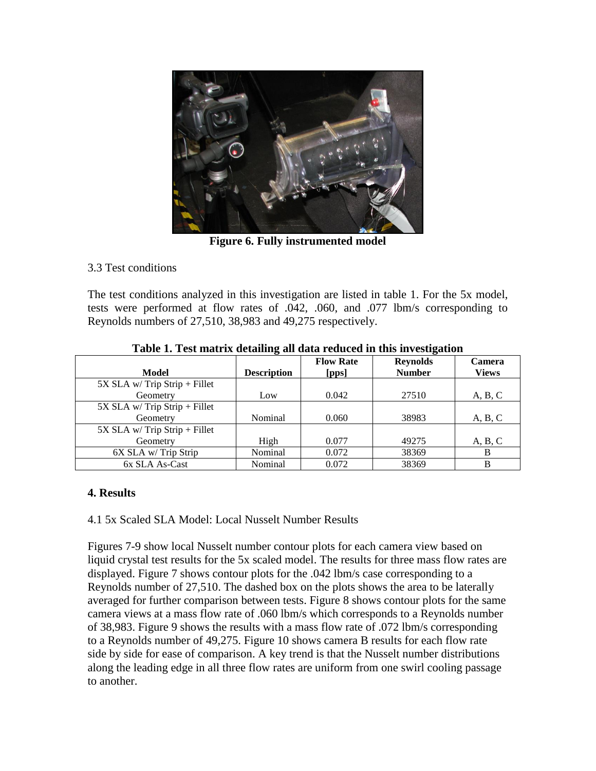

**Figure 6. Fully instrumented model**

# 3.3 Test conditions

The test conditions analyzed in this investigation are listed in table 1. For the 5x model, tests were performed at flow rates of .042, .060, and .077 lbm/s corresponding to Reynolds numbers of 27,510, 38,983 and 49,275 respectively.

|                                 | ້<br>ີ             |                           |                                  |                               |
|---------------------------------|--------------------|---------------------------|----------------------------------|-------------------------------|
| Model                           | <b>Description</b> | <b>Flow Rate</b><br>[pps] | <b>Reynolds</b><br><b>Number</b> | <b>Camera</b><br><b>Views</b> |
| $5X$ SLA w/ Trip Strip + Fillet |                    |                           |                                  |                               |
| Geometry                        | Low                | 0.042                     | 27510                            | A, B, C                       |
| 5X SLA w/ Trip Strip + Fillet   |                    |                           |                                  |                               |
| Geometry                        | Nominal            | 0.060                     | 38983                            | A, B, C                       |
| $5X$ SLA w/ Trip Strip + Fillet |                    |                           |                                  |                               |
| Geometry                        | High               | 0.077                     | 49275                            | A, B, C                       |
| 6X SLA w/Trip Strip             | Nominal            | 0.072                     | 38369                            | B                             |
| 6x SLA As-Cast                  | Nominal            | 0.072                     | 38369                            | В                             |

**Table 1. Test matrix detailing all data reduced in this investigation**

# **4. Results**

## 4.1 5x Scaled SLA Model: Local Nusselt Number Results

Figures 7-9 show local Nusselt number contour plots for each camera view based on liquid crystal test results for the 5x scaled model. The results for three mass flow rates are displayed. Figure 7 shows contour plots for the .042 lbm/s case corresponding to a Reynolds number of 27,510. The dashed box on the plots shows the area to be laterally averaged for further comparison between tests. Figure 8 shows contour plots for the same camera views at a mass flow rate of .060 lbm/s which corresponds to a Reynolds number of 38,983. Figure 9 shows the results with a mass flow rate of .072 lbm/s corresponding to a Reynolds number of 49,275. Figure 10 shows camera B results for each flow rate side by side for ease of comparison. A key trend is that the Nusselt number distributions along the leading edge in all three flow rates are uniform from one swirl cooling passage to another.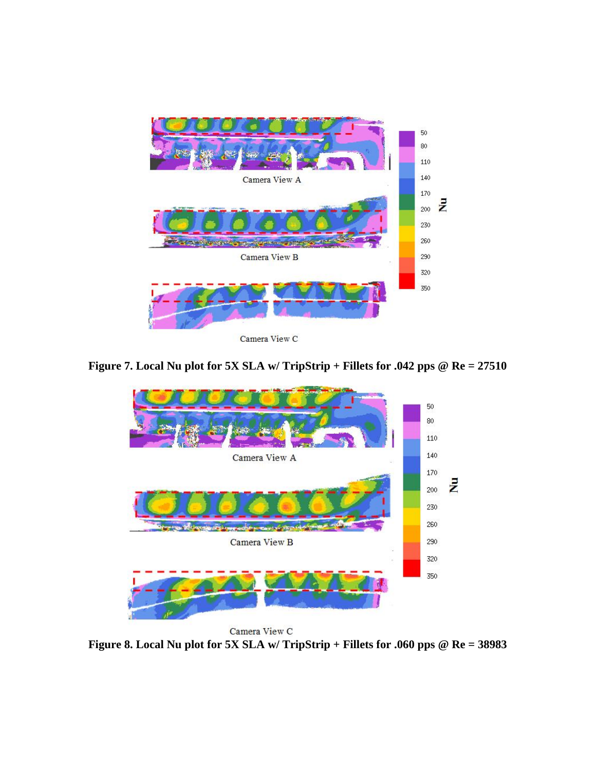

**Figure 7. Local Nu plot for 5X SLA w/ TripStrip + Fillets for .042 pps @ Re = 27510**



Camera View C **Figure 8. Local Nu plot for 5X SLA w/ TripStrip + Fillets for .060 pps @ Re = 38983**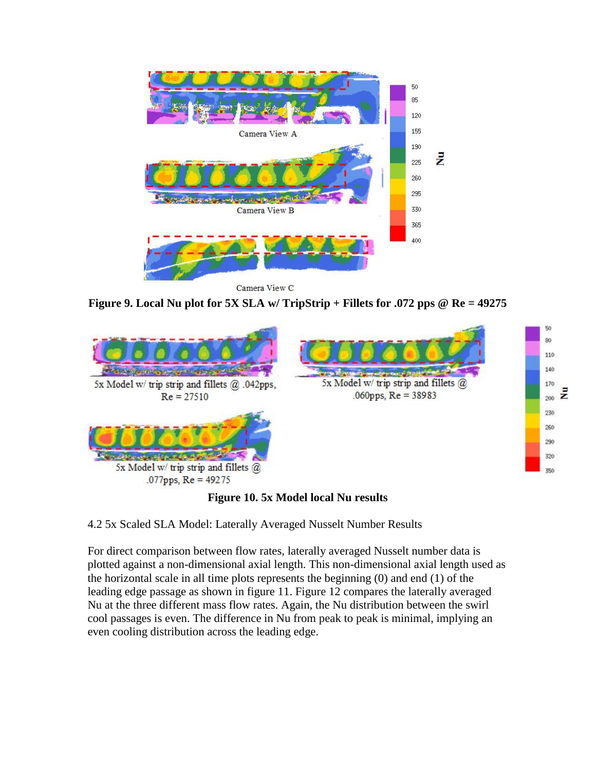

Camera View C

**Figure 9. Local Nu plot for 5X SLA w/ TripStrip + Fillets for .072 pps @ Re = 49275**



## **Figure 10. 5x Model local Nu results**

4.2 5x Scaled SLA Model: Laterally Averaged Nusselt Number Results

For direct comparison between flow rates, laterally averaged Nusselt number data is plotted against a non-dimensional axial length. This non-dimensional axial length used as the horizontal scale in all time plots represents the beginning (0) and end (1) of the leading edge passage as shown in figure 11. Figure 12 compares the laterally averaged Nu at the three different mass flow rates. Again, the Nu distribution between the swirl cool passages is even. The difference in Nu from peak to peak is minimal, implying an even cooling distribution across the leading edge.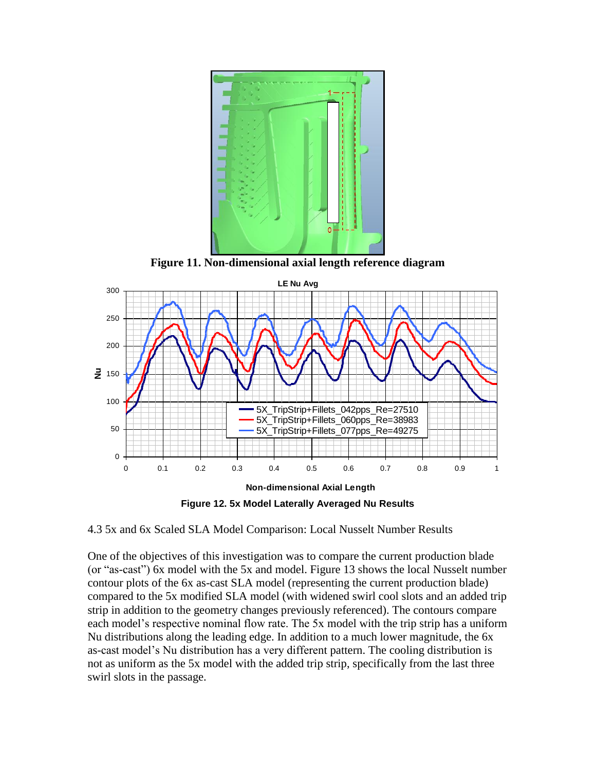

**Figure 11. Non-dimensional axial length reference diagram**



**Figure 12. 5x Model Laterally Averaged Nu Results**

4.3 5x and 6x Scaled SLA Model Comparison: Local Nusselt Number Results

One of the objectives of this investigation was to compare the current production blade (or "as-cast") 6x model with the 5x and model. Figure 13 shows the local Nusselt number contour plots of the 6x as-cast SLA model (representing the current production blade) compared to the 5x modified SLA model (with widened swirl cool slots and an added trip strip in addition to the geometry changes previously referenced). The contours compare each model's respective nominal flow rate. The 5x model with the trip strip has a uniform Nu distributions along the leading edge. In addition to a much lower magnitude, the 6x as-cast model's Nu distribution has a very different pattern. The cooling distribution is not as uniform as the 5x model with the added trip strip, specifically from the last three swirl slots in the passage.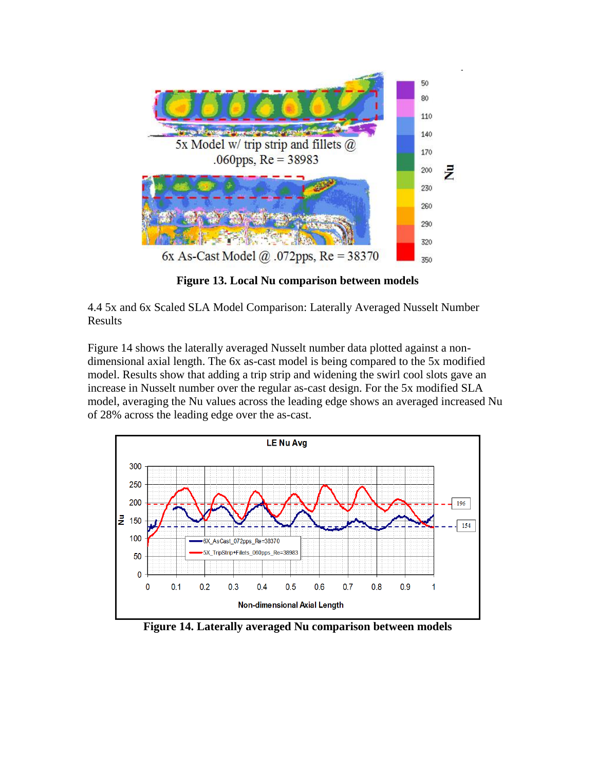

**Figure 13. Local Nu comparison between models**

4.4 5x and 6x Scaled SLA Model Comparison: Laterally Averaged Nusselt Number Results

Figure 14 shows the laterally averaged Nusselt number data plotted against a nondimensional axial length. The 6x as-cast model is being compared to the 5x modified model. Results show that adding a trip strip and widening the swirl cool slots gave an increase in Nusselt number over the regular as-cast design. For the 5x modified SLA model, averaging the Nu values across the leading edge shows an averaged increased Nu of 28% across the leading edge over the as-cast.



**Figure 14. Laterally averaged Nu comparison between models**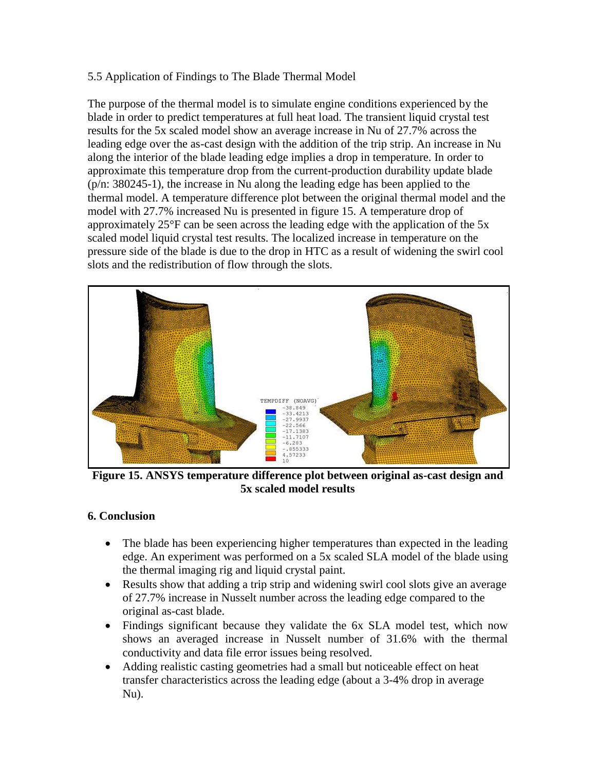### 5.5 Application of Findings to The Blade Thermal Model

The purpose of the thermal model is to simulate engine conditions experienced by the blade in order to predict temperatures at full heat load. The transient liquid crystal test results for the 5x scaled model show an average increase in Nu of 27.7% across the leading edge over the as-cast design with the addition of the trip strip. An increase in Nu along the interior of the blade leading edge implies a drop in temperature. In order to approximate this temperature drop from the current-production durability update blade (p/n: 380245-1), the increase in Nu along the leading edge has been applied to the thermal model. A temperature difference plot between the original thermal model and the model with 27.7% increased Nu is presented in figure 15. A temperature drop of approximately 25°F can be seen across the leading edge with the application of the 5x scaled model liquid crystal test results. The localized increase in temperature on the pressure side of the blade is due to the drop in HTC as a result of widening the swirl cool slots and the redistribution of flow through the slots.



**Figure 15. ANSYS temperature difference plot between original as-cast design and 5x scaled model results**

## **6. Conclusion**

- The blade has been experiencing higher temperatures than expected in the leading edge. An experiment was performed on a 5x scaled SLA model of the blade using the thermal imaging rig and liquid crystal paint.
- Results show that adding a trip strip and widening swirl cool slots give an average of 27.7% increase in Nusselt number across the leading edge compared to the original as-cast blade.
- Findings significant because they validate the 6x SLA model test, which now shows an averaged increase in Nusselt number of 31.6% with the thermal conductivity and data file error issues being resolved.
- Adding realistic casting geometries had a small but noticeable effect on heat transfer characteristics across the leading edge (about a 3-4% drop in average Nu).